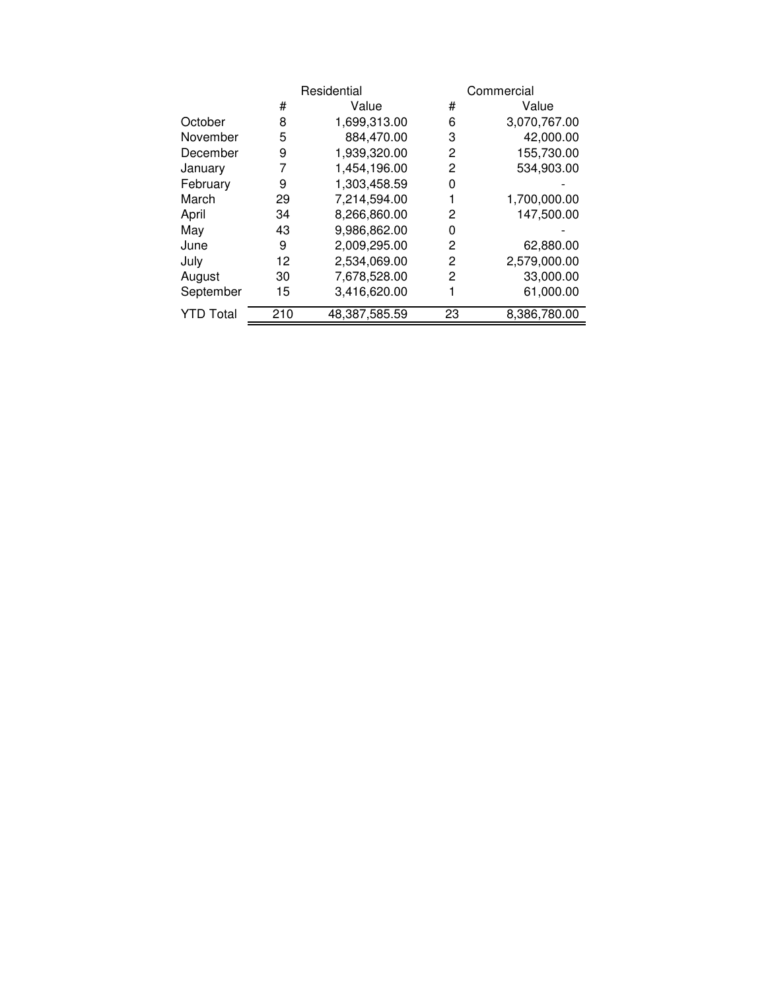|                  |     | Residential   |    | Commercial   |  |  |
|------------------|-----|---------------|----|--------------|--|--|
|                  | #   | Value         | #  | Value        |  |  |
| October          | 8   | 1,699,313.00  | 6  | 3,070,767.00 |  |  |
| November         | 5   | 884,470.00    | 3  | 42,000.00    |  |  |
| December         | 9   | 1,939,320.00  | 2  | 155,730.00   |  |  |
| January          | 7   | 1,454,196.00  | 2  | 534,903.00   |  |  |
| February         | 9   | 1,303,458.59  | 0  |              |  |  |
| March            | 29  | 7,214,594.00  |    | 1,700,000.00 |  |  |
| April            | 34  | 8,266,860.00  | 2  | 147,500.00   |  |  |
| May              | 43  | 9,986,862.00  | 0  |              |  |  |
| June             | 9   | 2,009,295.00  | 2  | 62,880.00    |  |  |
| July             | 12  | 2,534,069.00  | 2  | 2,579,000.00 |  |  |
| August           | 30  | 7,678,528.00  | 2  | 33,000.00    |  |  |
| September        | 15  | 3,416,620.00  |    | 61,000.00    |  |  |
| <b>YTD Total</b> | 210 | 48,387,585.59 | 23 | 8,386,780.00 |  |  |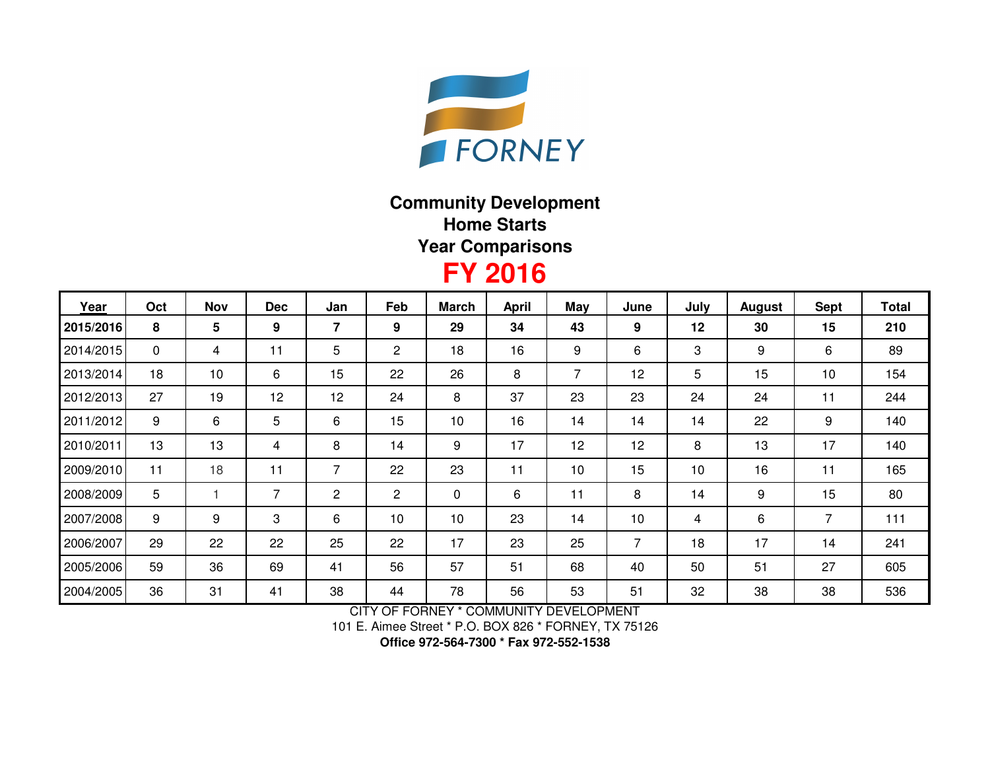

## **Community DevelopmentHome StartsYear Comparisons**

## **FY 2016**

| Year      | Oct | <b>Nov</b>      | <b>Dec</b>     | Jan | Feb            | <b>March</b> | <b>April</b> | May            | June | July | <b>August</b> | <b>Sept</b>    | <b>Total</b> |
|-----------|-----|-----------------|----------------|-----|----------------|--------------|--------------|----------------|------|------|---------------|----------------|--------------|
| 2015/2016 | 8   | $5\phantom{.0}$ | 9              | 7   | 9              | 29           | 34           | 43             | 9    | 12   | 30            | 15             | 210          |
| 2014/2015 | 0   | 4               | 11             | 5   | $\overline{c}$ | 18           | 16           | 9              | 6    | 3    | 9             | 6              | 89           |
| 2013/2014 | 18  | 10              | 6              | 15  | 22             | 26           | 8            | $\overline{7}$ | 12   | 5    | 15            | 10             | 154          |
| 2012/2013 | 27  | 19              | 12             | 12  | 24             | 8            | 37           | 23             | 23   | 24   | 24            | 11             | 244          |
| 2011/2012 | 9   | 6               | 5              | 6   | 15             | 10           | 16           | 14             | 14   | 14   | 22            | 9              | 140          |
| 2010/2011 | 13  | 13              | 4              | 8   | 14             | 9            | 17           | 12             | 12   | 8    | 13            | 17             | 140          |
| 2009/2010 | 11  | 18              | 11             | 7   | 22             | 23           | 11           | 10             | 15   | 10   | 16            | 11             | 165          |
| 2008/2009 | 5   |                 | $\overline{7}$ | 2   | $\overline{c}$ | $\mathbf 0$  | 6            | 11             | 8    | 14   | 9             | 15             | 80           |
| 2007/2008 | 9   | 9               | 3              | 6   | 10             | 10           | 23           | 14             | 10   | 4    | 6             | $\overline{7}$ | 111          |
| 2006/2007 | 29  | 22              | 22             | 25  | 22             | 17           | 23           | 25             | 7    | 18   | 17            | 14             | 241          |
| 2005/2006 | 59  | 36              | 69             | 41  | 56             | 57           | 51           | 68             | 40   | 50   | 51            | 27             | 605          |
| 2004/2005 | 36  | 31              | 41             | 38  | 44             | 78           | 56           | 53             | 51   | 32   | 38            | 38             | 536          |

CITY OF FORNEY \* COMMUNITY DEVELOPMENT

101 E. Aimee Street \* P.O. BOX 826 \* FORNEY, TX 75126

**Office 972-564-7300 \* Fax 972-552-1538**